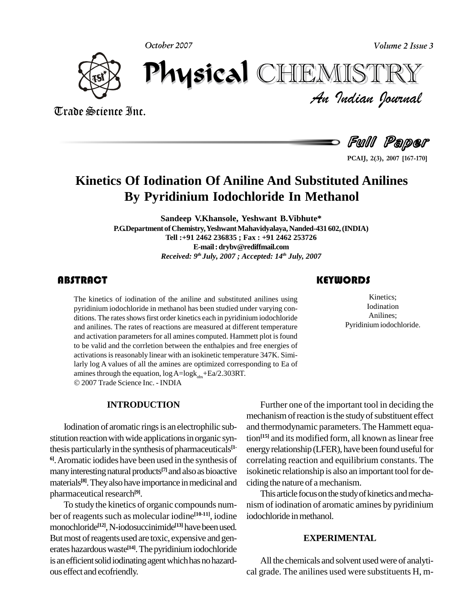**October 2007**

**Volume 2 Issue 3**



*Volume 2 Issue 3*<br>IISTRY<br>Indian Iournal October 2007 CHIEMISTRY

Trade Science Inc. Trade Science Inc.

Full Paper

**2(3), <sup>2007</sup> [167-170]**

# **Kinetics Of Iodination Of Aniline And Substituted Anilines By Pyridinium Iodochloride In Methanol**

**Sandeep V.Khansole, Yeshwant B.Vibhute\***

**P.G.Department ofChemistry,YeshwantMahavidyalaya,Nanded-431 602,(INDIA) Tell :+91 2462 236835 ; Fax : +91 2462 253726 E-mail:[drybv@rediffmail.com](mailto:drybv@rediffmail.com)** *Received: 9 th July, 2007 ; Accepted: 14 th July, 2007*

The kinetics of iodination<br>pyridinium iodochloride<br>ditions. The rates shows t The kinetics of iodination of the aniline and substituted anilines using pyridinium iodochloride in methanol has been studied under varying con ditions. The rates shows first order kinetics each in pyridinium iodochloride and anilines. The rates of reactions are measured at different temperature and activation parameters for all amines computed. Hammett plot is found to be valid and the corrletion between the enthalpies and free energies of activations is reasonably linear with an isokinetic temperature 347K. Similarly log A values of all the amines are optimized corresponding to Ea of amines through the equation,  $log A = log k_{obs} + Ea/2.303RT$ . 2007 Trade Science Inc. - INDIA

#### **INTRODUCTION**

Iodination of aromatic rings is an electrophilic substitution reaction with wide applications in organic synthesis particularly in the synthesis of pharmaceuticals<sup>[1-</sup> ene **6]**.Aromatic iodides have been used in the synthesis of many interesting natural products<sup>[7]</sup> and also as bioactive isokin materials<sup>[8]</sup>. They also have importance in medicinal and ciding t pharmaceutical research<sup>[9]</sup>.

To studythe kinetics of organic compounds num ber of reagents such as molecular iodine<sup>[10-11]</sup>, iodine iodocl monochloride **[12]**,N-iodosuccinimide **[13]** havebeenused. But most of reagents used are toxic, expensive and generates hazardous waste<sup>[14]</sup>. The pyridinium iodochloride is an efficient solid iodinating agent which has no hazardous effect and ecofriendly.

### **KEYWORDS**

Kinetics;<br>
Kinetics;<br>
Iodination<br>
Anilines; Kinetics; Iodination Anilines; Pyridinium iodochloride.

Further one of the important tool in deciding the mechanism of reaction is the study of substituent effect and thermodynamic parameters.The Hammett equation<sup>[15]</sup> and its modified form, all known as linear free energy relationship (LFER), have been found useful for correlating reaction and equilibrium constants. The isokinetic relationship is also an important tool for deciding the nature of amechanism.

This article focus on the study of kinetics and mechanism of iodination of aromatic amines by pyridinium iodochloride inmethanol.

#### **EXPERIMENTAL**

All the chemicals and solvent usedwere of analyti cal grade. The anilines used were substituents H, m-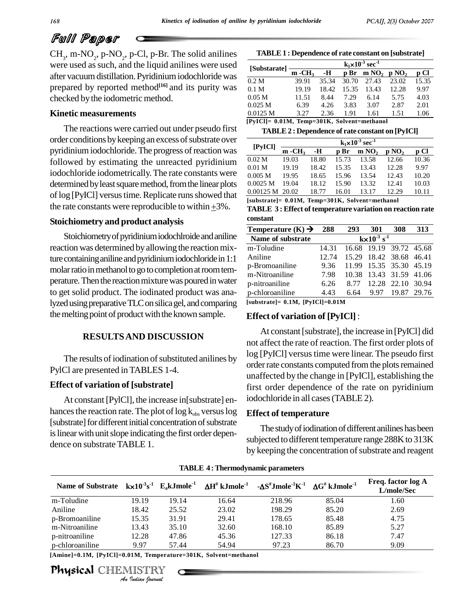# Full Paper

CH<sup>3</sup> , m-NO<sup>2</sup> , p-NO<sup>2</sup> , p-Cl, p-Br. The solid anilines were used assuch, and the liquid anilines were used after vacuum distillation. Pyridinium iodochloride was prepared by reported method<sup>[16]</sup> and its purity was  $_{0.1 \text{ M}}$ checked bythe iodometric method.

#### **Kinetic measurements**

The reactions were carried out under pseudo first order conditions by keeping an excess of substrate over pyridinium iodochloride. The progress of reaction was followed by estimating the unreacted pyridinium iodochloride iodometrically.The rate constants were determined by least square method, from the linear plots of log [PyICl] versus time. Replicate runs showed that  $\frac{0.0}{5}$ determined by least square method, from the linear plots<br>of log [PyICl] versus time. Replicate runs showed that<br>the rate constants were reproducible to within  $\pm 3\%$ .

#### **Stoichiometry and product analysis**

Stoichiometry of pyridinium iodochlroide and aniline reaction was determined by allowing the reaction mixture containing aniline and pyridinium iodochloride in 1:1 molar ratio in methanol to go to completion at room temperature. Then the reaction mixture was poured in water to get solid product. The iodinated product was analyzed using preparative TLC on silica gel, and comparing the melting point of product with the known sample.

#### **RESULTSAND DISCUSSION**

The results of iodination of substituted anilines by PylCl are presented inTABLES 1-4.

#### **Effect of variation of [substrate]**

At constant [PylCl], the increase in[substrate] enhances the reaction rate. The plot of  $\log k_{obs}$  versus log [substrate] for different initial concentration of substrate is linear with unit slope indicating the first order dependence on substrate TABLE 1.

| [Substarate]      | $k_1 \times 10^{-3}$ sec <sup>-1</sup> |       |       |                   |          |       |  |  |
|-------------------|----------------------------------------|-------|-------|-------------------|----------|-------|--|--|
|                   | $m - CH_3$                             | -н    | p Br  | m NO <sub>2</sub> | $p\,NO2$ | p Cl  |  |  |
| 0.2 M             | 39.91                                  | 35.34 | 30.70 | 27.43             | 23.02    | 15.35 |  |  |
| 0.1 <sub>M</sub>  | 19.19                                  | 18.42 | 15.35 | 13.43             | 12.28    | 9.97  |  |  |
| 0.05 <sub>M</sub> | 11.51                                  | 8.44  | 7.29  | 6.14              | 5.75     | 4.03  |  |  |
| 0.025 M           | 6.39                                   | 4.26  | 3.83  | 3.07              | 2.87     | 2.01  |  |  |
| 0.0125 M          | 3.27                                   | 2.36  | 1.91  | 1.61              | 1.51     | 1.06  |  |  |

```
[PyICl]= 0.01M, Temp=301K, Solvent=methanol
```

| [PyICl]           | $k_1 \times 10^{-3}$ sec <sup>-1</sup> |       |       |                   |                   |       |  |  |
|-------------------|----------------------------------------|-------|-------|-------------------|-------------------|-------|--|--|
|                   | $m - CH3$                              | -н    | p Br  | m NO <sub>2</sub> | p NO <sub>2</sub> | p Cl  |  |  |
| 0.02 <sub>M</sub> | 19.03                                  | 18.80 | 15.73 | 13.58             | 12.66             | 10.36 |  |  |
| 0.01 <sub>M</sub> | 19.19                                  | 18.42 | 15.35 | 13.43             | 12.28             | 9.97  |  |  |
| 0.005 M           | 19.95                                  | 18.65 | 15.96 | 13.54             | 12.43             | 10.20 |  |  |
| 0.0025 M          | 19.04                                  | 18.12 | 15.90 | 13.32             | 12.41             | 10.03 |  |  |
| $0.00125 M$ 20.02 |                                        | 18.77 | 16.01 | 13.17             | 12.29             | 10.11 |  |  |

**TABLE 3 : Effect of temperature variation on reaction rate constant**

| constant                      |       |                                    |                         |       |       |  |  |
|-------------------------------|-------|------------------------------------|-------------------------|-------|-------|--|--|
| Temperature $(K) \rightarrow$ | 288   | 293                                | 301                     | 308   | 313   |  |  |
| Name of substrate             |       | $k \times 10^{-3}$ s <sup>-1</sup> |                         |       |       |  |  |
| m-Toludine                    | 14.31 |                                    | 16.68 19.19 39.72 45.68 |       |       |  |  |
| Aniline                       | 12.74 |                                    | 15.29 18.42 38.68 46.41 |       |       |  |  |
| p-Bromoaniline                | 9.36  |                                    | 11.99 15.35 35.30 45.19 |       |       |  |  |
| m-Nitroaniline                | 7.98  | 10.38                              | 13.43 31.59 41.06       |       |       |  |  |
| p-nitroaniline                | 6.26  | 8.77                               | 12.28 22.10 30.94       |       |       |  |  |
| p-chloroaniline               | 4.43  | 6.64                               | 9.97                    | 19.87 | 29.76 |  |  |
|                               |       |                                    |                         |       |       |  |  |

**[substrate]= 0.1M, [PyICl]=0.01M**

#### **Effect of variation of [PyICl]**:

At constant [substrate], the increase in [PyICl] did not affect the rate of reaction. The first order plots of log [PyICl] versus time were linear. The pseudo first order rate constants computed from the plots remained unaffected by the change in [PyICl], establishing the first order dependence of the rate on pyridinium iodochloride in all cases(TABLE 2).

#### **Effect of temperature**

The study of iodination of different anilines has been subjected to different temperature range 288K to 313K by keeping the concentration of substrate and reagent

| Name of Substrate $k \times 10^{-3} s^{-1}$ E <sub>a</sub> kJmole <sup>-1</sup> $\Delta H^{\#}$ kJmole <sup>-1</sup> $\Delta S^{\#}$ Jmole <sup>-1</sup> $\Delta G^{\#}$ kJmole <sup>-1</sup> |                   |       |       |        |       | Freq. factor log A<br>L/mole/Sec |
|-----------------------------------------------------------------------------------------------------------------------------------------------------------------------------------------------|-------------------|-------|-------|--------|-------|----------------------------------|
| m-Toludine                                                                                                                                                                                    | 19.19             | 19.14 | 16.64 | 218.96 | 85.04 | 1.60                             |
| Aniline                                                                                                                                                                                       | 18.42             | 25.52 | 23.02 | 198.29 | 85.20 | 2.69                             |
| p-Bromoaniline                                                                                                                                                                                | 15.35             | 31.91 | 29.41 | 178.65 | 85.48 | 4.75                             |
| m-Nitroaniline                                                                                                                                                                                | 13.43             | 35.10 | 32.60 | 168.10 | 85.89 | 5.27                             |
| p-nitroaniline                                                                                                                                                                                | 12.28             | 47.86 | 45.36 | 127.33 | 86.18 | 7.47                             |
| p-chloroaniline                                                                                                                                                                               | 9.97              | 57.44 | 54.94 | 97.23  | 86.70 | 9.09                             |
| [Amine]=0.1M, [PyICl]=0.01M, Temperature=301K, Solvent=methanol                                                                                                                               |                   |       |       |        |       |                                  |
| Physical CHEMISTRY                                                                                                                                                                            | An Indian Nournal |       |       |        |       |                                  |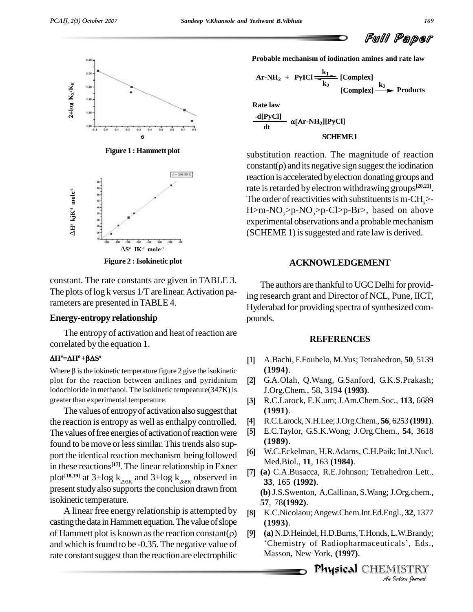

**Figure 1 : Hammett plot**



**Figure 2 :Isokinetic plot**

constant. The rate constants are given in TABLE 3. The plots of  $log k$  versus  $1/T$  are linear. Activation parameters are presented in TABLE 4.

#### **Energy-entropy relationship**

The entropy of activation and heat of reaction are correlated by the equation 1.<br> $\Delta H^* = \Delta H^0 + \beta \Delta S^*$ 

#### $\Delta H^* = \Delta H^0 + \beta \Delta S^*$

Where  $\beta$  is the iokinetic temperature figure 2 give the isokinetic plot for the reaction between anilines and pyridinium [2] iodochloride in methanol. The isokinetic tempeature(347K) is greater than experimental temperature.

The values of entropy of activation also suggest that the reaction is entropy as well as enthalpy controlled. [4] The values of free energies of activation of reaction were [5] found to be move or less similar. This trends also support the identical reaction mechanism being followed in these reactions<sup>[17]</sup>. The linear relationship in Exner plot<sup>[18,19]</sup> at 3+log k<sub>293K</sub> and 3+log k<sub>288K</sub> observed in  $\frac{1}{3}$ present study also supports the conclusion drawn from isokinetic temperature.

A linear free energy relationship is attempted by casting the data in Hammett equation. The value of slope A linear free energy relationship is attempted by [8]<br>casting the data in Hammett equation. The value of slope<br>of Hammett plot is known as the reaction constant( $\rho$ ) [9] and which is found to be -0.35. The negative value of rate constant suggest than the reaction are electrophilic

**Probable mechanism of iodination amines and rate law**

Ar-NH<sub>2</sub> + PyICI 
$$
\frac{k_1}{k_2}
$$
 [Complex]  
[Complex]  $\xrightarrow{k_2}$  Products

**Rate law**

Rate law  
\n
$$
\frac{-d[PyCl]}{dt} \alpha[Ar-NH_2][PyCl]
$$
\nSCHEME1

substitution reaction. The magnitude of reaction substitution reaction. The magnitude of reaction<br>constant( $\rho$ ) and its negative sign suggest the iodination reaction is accelerated byelectron donatinggroups and rate is retarded by electron withdrawing groups<sup>[20,21]</sup>. The order of reactivities with substituents is m-CH<sub>3</sub>>-<br>H>m-NO<sub>2</sub>>p-NO<sub>2</sub>>p-Cl>p-Br>, based on above experimental observations and a probable mechanism (SCHEME 1) is suggested and rate law is derived.

### **ACKNOWLEDGEMENT**

The authors are thankful to UGC Delhi for providing research grant and Director of NCL, Pune, IICT, Hyderabad for providing spectra of synthesized compounds.

#### **REFERENCES**

- A.Bachi, F.Foubelo, M.Yus; Tetrahedron, **50**, 5139 **(1994)**. **[2]**
- G.A.Olah, Q.Wang, G.Sanford, G.K.S.Prakash; J.Org.Chem., 58, 3194 **(1993)**. **[3]**
- R.C.Larock, E.K.um; J.Am.Chem.Soc., **113**, 6689 **(1991)**. **[4]**
- R.C.Larock,N.H.Lee;J.Org.Chem., **56**, 6253 **(1991)**. **[5]**
- E.C.Taylor, G.S.K.Wong; J.Org.Chem., **54**, 3618 **(1989)**. **[6]**
- W.C.Eckelman, H.R.Adams, C.H.Paik; Int.J.Nucl. Med.Biol., **11**, 163 **(1984)**. **[7]**
- **(a)** C.A.Busacca, R.E.Johnson; Tetrahedron Lett., **33**, 165 **(1992)**. (b) J.S.Swenton, A.Callinan, S.Wang; J.Org.chem., **57**, 78**(1992)**. **[8]**
- *An* K.C.Nicolaou;Angew.Chem.Int.Ed.Engl., **32**, 1377 **(1993)**. **[9]**
- gl., **32**, 1377<br>L.W.Brandy;<br>:als', Eds.,<br>IISTRY<br>*Indian houvual* **(1993).**<br>**(a)** N.D.Heindel, H.D.Burns, T.Honds, L.W.Brandy;<br>'Chemistry of Radiopharmaceuticals', Eds., Masson, New York, **(1997)**.